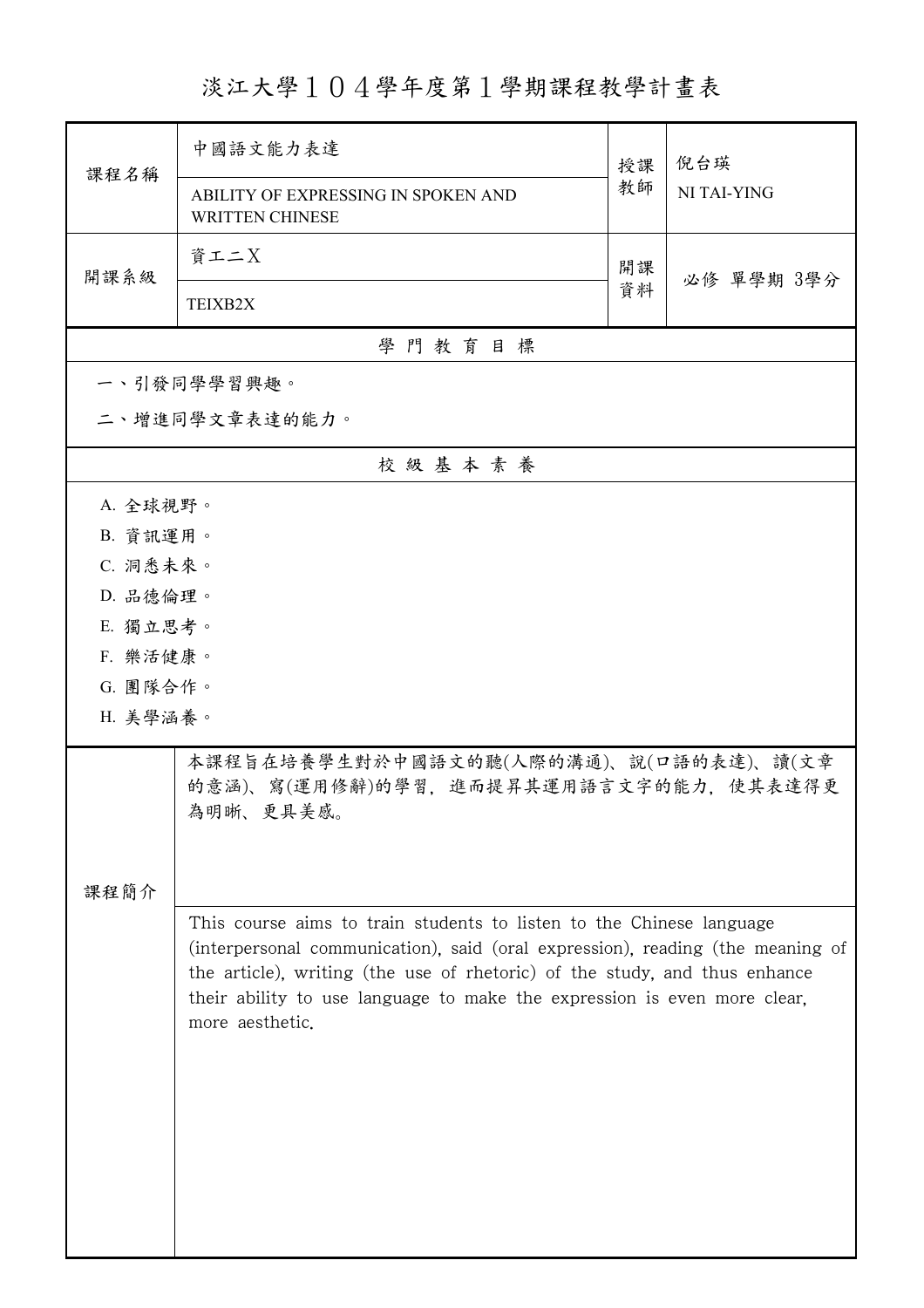## 淡江大學104學年度第1學期課程教學計畫表

| 課程名稱           | 中國語文能力表達                                                                                                                                                                                                                                                                                                                            | 授課 | 倪台瑛<br>NI TAI-YING |  |  |
|----------------|-------------------------------------------------------------------------------------------------------------------------------------------------------------------------------------------------------------------------------------------------------------------------------------------------------------------------------------|----|--------------------|--|--|
|                | ABILITY OF EXPRESSING IN SPOKEN AND<br><b>WRITTEN CHINESE</b>                                                                                                                                                                                                                                                                       | 教師 |                    |  |  |
| 開課系級           | 資工二X                                                                                                                                                                                                                                                                                                                                | 開課 |                    |  |  |
|                | TEIXB2X                                                                                                                                                                                                                                                                                                                             | 資料 | 必修 單學期 3學分         |  |  |
| 學門教育目標         |                                                                                                                                                                                                                                                                                                                                     |    |                    |  |  |
|                | 一、引發同學學習興趣。                                                                                                                                                                                                                                                                                                                         |    |                    |  |  |
| 二、增進同學文章表達的能力。 |                                                                                                                                                                                                                                                                                                                                     |    |                    |  |  |
|                | 校級基本素養                                                                                                                                                                                                                                                                                                                              |    |                    |  |  |
| A. 全球視野。       |                                                                                                                                                                                                                                                                                                                                     |    |                    |  |  |
| B. 資訊運用。       |                                                                                                                                                                                                                                                                                                                                     |    |                    |  |  |
| C. 洞悉未來。       |                                                                                                                                                                                                                                                                                                                                     |    |                    |  |  |
| D. 品德倫理。       |                                                                                                                                                                                                                                                                                                                                     |    |                    |  |  |
| E. 獨立思考。       |                                                                                                                                                                                                                                                                                                                                     |    |                    |  |  |
| F. 樂活健康。       |                                                                                                                                                                                                                                                                                                                                     |    |                    |  |  |
| G. 團隊合作。       |                                                                                                                                                                                                                                                                                                                                     |    |                    |  |  |
| H. 美學涵養。       |                                                                                                                                                                                                                                                                                                                                     |    |                    |  |  |
|                | 本課程旨在培養學生對於中國語文的聽(人際的溝通)、說(口語的表達)、讀(文章<br>的意涵)、寫(運用修辭)的學習,進而提昇其運用語言文字的能力,使其表達得更<br>為明晰、更具美感。                                                                                                                                                                                                                                        |    |                    |  |  |
|                |                                                                                                                                                                                                                                                                                                                                     |    |                    |  |  |
| 課程簡介           |                                                                                                                                                                                                                                                                                                                                     |    |                    |  |  |
|                | This course aims to train students to listen to the Chinese language<br>(interpersonal communication), said (oral expression), reading (the meaning of<br>the article), writing (the use of rhetoric) of the study, and thus enhance<br>their ability to use language to make the expression is even more clear,<br>more aesthetic. |    |                    |  |  |
|                |                                                                                                                                                                                                                                                                                                                                     |    |                    |  |  |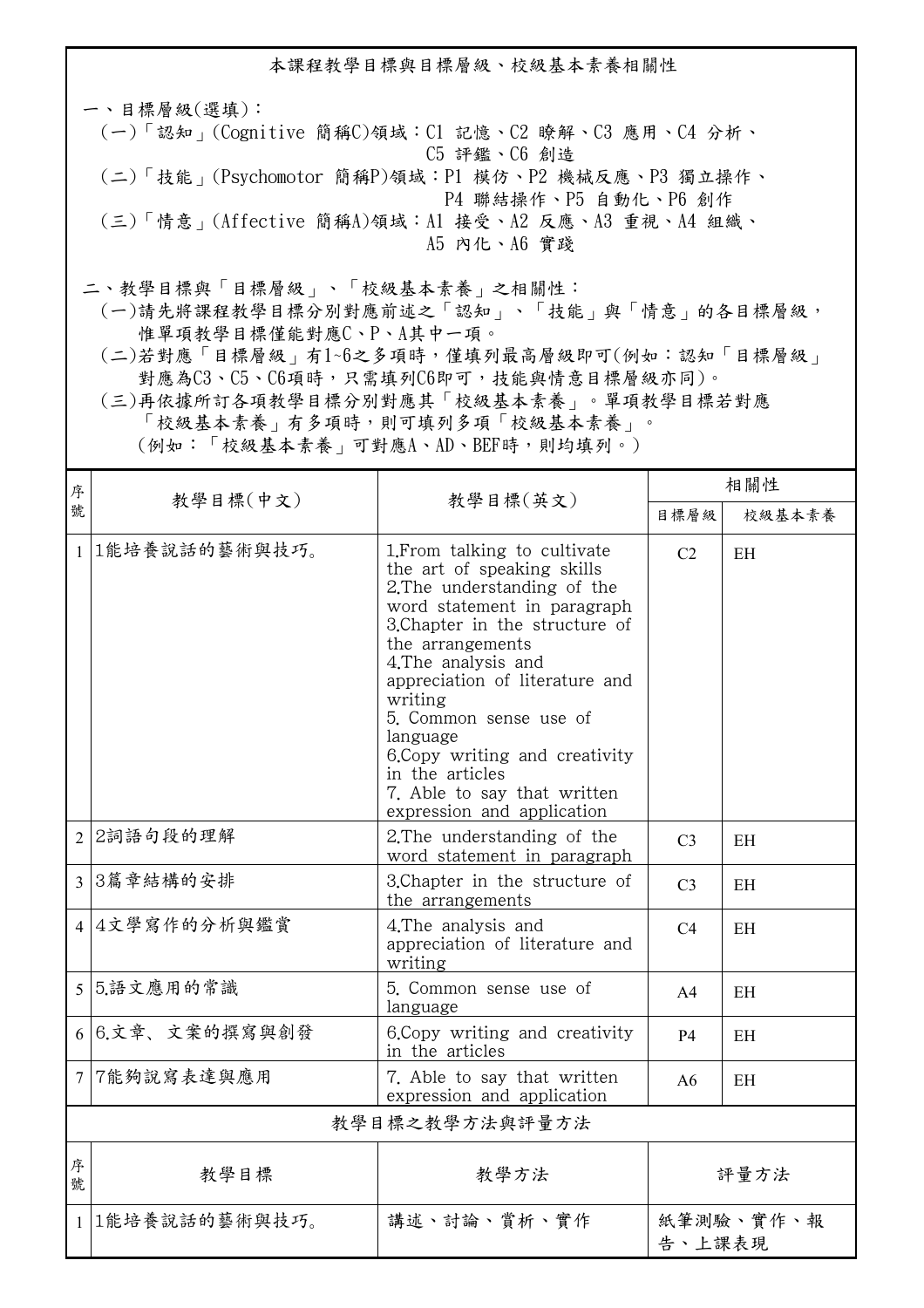本課程教學目標與目標層級、校級基本素養相關性 一、目標層級(選填): (一)「認知」(Cognitive 簡稱C)領域:C1 記憶、C2 瞭解、C3 應用、C4 分析、 C5 評鑑、C6 創造 (二)「技能」(Psychomotor 簡稱P)領域:P1 模仿、P2 機械反應、P3 獨立操作、 P4 聯結操作、P5 自動化、P6 創作 (三)「情意」(Affective 簡稱A)領域:A1 接受、A2 反應、A3 重視、A4 組織、 A5 內化、A6 實踐

二、教學目標與「目標層級」、「校級基本素養」之相關性:

 (一)請先將課程教學目標分別對應前述之「認知」、「技能」與「情意」的各目標層級, 惟單項教學目標僅能對應C、P、A其中一項。

 (二)若對應「目標層級」有1~6之多項時,僅填列最高層級即可(例如:認知「目標層級」 對應為C3、C5、C6項時,只需填列C6即可,技能與情意目標層級亦同)。

 (三)再依據所訂各項教學目標分別對應其「校級基本素養」。單項教學目標若對應 「校級基本素養」有多項時,則可填列多項「校級基本素養」。

(例如:「校級基本素養」可對應A、AD、BEF時,則均填列。)

| 序<br>號         | 教學目標(中文)        | 教學目標(英文)                                                                                                                                                                                                                                                                                                                                                                                                   | 相關性                 |        |  |
|----------------|-----------------|------------------------------------------------------------------------------------------------------------------------------------------------------------------------------------------------------------------------------------------------------------------------------------------------------------------------------------------------------------------------------------------------------------|---------------------|--------|--|
|                |                 |                                                                                                                                                                                                                                                                                                                                                                                                            | 目標層級                | 校級基本素養 |  |
| $\mathbf{1}$   | 1能培養說話的藝術與技巧。   | 1. From talking to cultivate<br>the art of speaking skills<br>2. The understanding of the<br>word statement in paragraph<br>3. Chapter in the structure of<br>the arrangements<br>4. The analysis and<br>appreciation of literature and<br>writing<br>5. Common sense use of<br>language<br>6. Copy writing and creativity<br>in the articles<br>7. Able to say that written<br>expression and application | C <sub>2</sub>      | EH     |  |
|                | 2 2詞語句段的理解      | 2. The understanding of the<br>word statement in paragraph                                                                                                                                                                                                                                                                                                                                                 | C <sub>3</sub>      | EH     |  |
|                | 3 3篇章結構的安排      | 3. Chapter in the structure of<br>the arrangements                                                                                                                                                                                                                                                                                                                                                         | C <sub>3</sub>      | EH     |  |
|                | 4 4文學寫作的分析與鑑賞   | 4. The analysis and<br>appreciation of literature and<br>writing                                                                                                                                                                                                                                                                                                                                           | C4                  | EH     |  |
|                | 5 5.語文應用的常識     | 5. Common sense use of<br>language                                                                                                                                                                                                                                                                                                                                                                         | A <sub>4</sub>      | EH     |  |
|                | 6 6.文章、文案的撰寫與創發 | 6. Copy writing and creativity<br>in the articles                                                                                                                                                                                                                                                                                                                                                          | <b>P4</b>           | EH     |  |
|                | 7 7能夠說寫表達與應用    | 7. Able to say that written<br>expression and application                                                                                                                                                                                                                                                                                                                                                  | A6                  | EH     |  |
| 教學目標之教學方法與評量方法 |                 |                                                                                                                                                                                                                                                                                                                                                                                                            |                     |        |  |
| 序<br>號         | 教學目標            | 教學方法                                                                                                                                                                                                                                                                                                                                                                                                       | 評量方法                |        |  |
|                | 1 1能培養說話的藝術與技巧。 | 講述、討論、賞析、實作                                                                                                                                                                                                                                                                                                                                                                                                | 紙筆測驗、實作、報<br>告、上課表現 |        |  |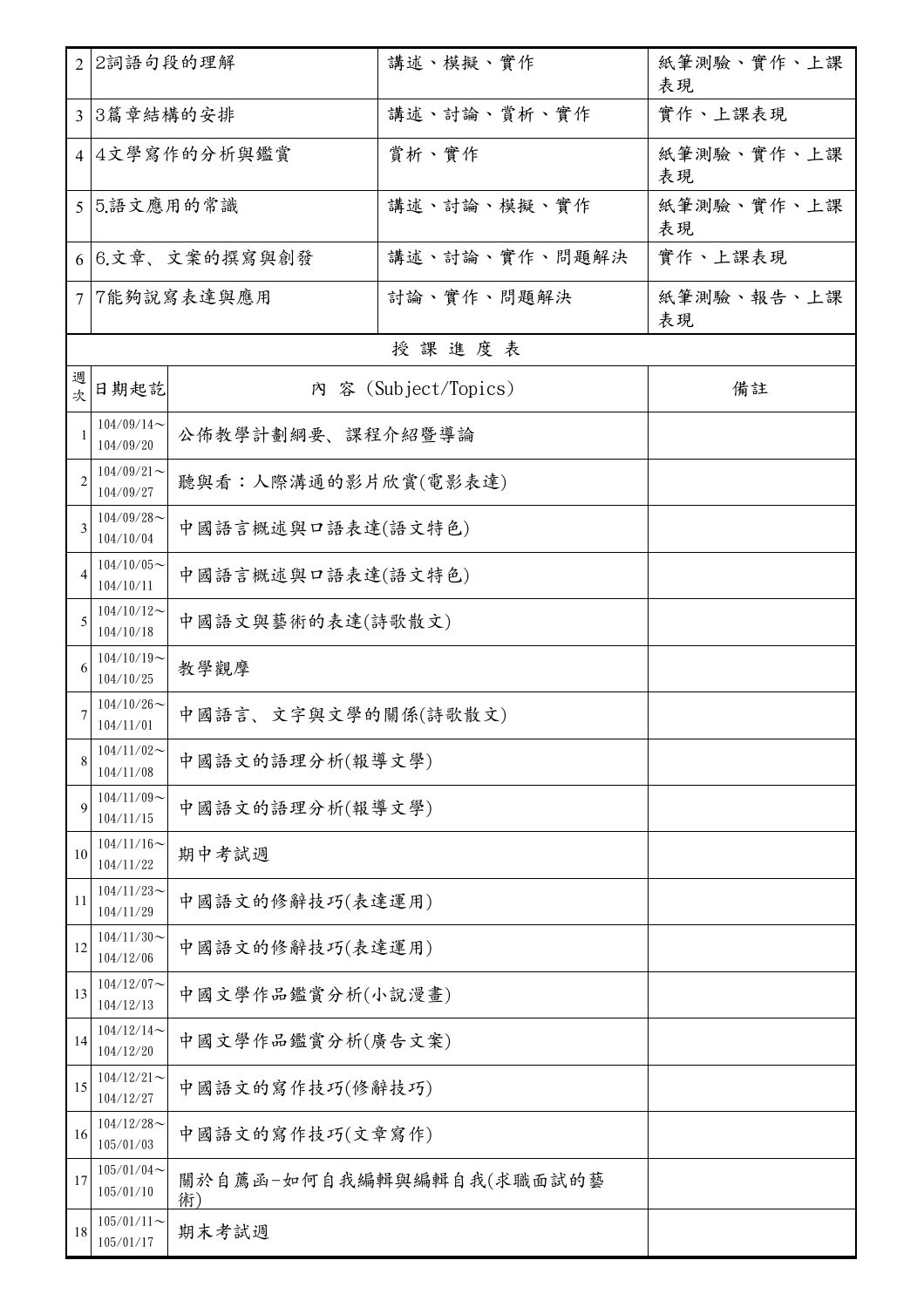|                | 2 2詞語句段的理解                                        |                     | 講述、模擬、實作                 | 紙筆測驗、實作、上課<br>表現 |  |
|----------------|---------------------------------------------------|---------------------|--------------------------|------------------|--|
|                | 3 3篇章結構的安排                                        |                     | 講述、討論、賞析、實作              | 實作、上課表現          |  |
|                | 4 4文學寫作的分析與鑑賞                                     |                     | 賞析、實作                    | 紙筆測驗、實作、上課<br>表現 |  |
|                | 5 5.語文應用的常識                                       |                     | 講述、討論、模擬、實作              | 紙筆測驗、實作、上課<br>表現 |  |
|                | 6 6.文章、文案的撰寫與創發<br>講述、討論、實作、問題解決                  |                     |                          | 實作、上課表現          |  |
| $\tau$         |                                                   | 7能夠說寫表達與應用          | 討論、實作、問題解決               | 紙筆測驗、報告、上課<br>表現 |  |
|                |                                                   |                     | 授課進度表                    |                  |  |
| 週<br>次         | 内 容 (Subject/Topics)<br>日期起訖                      |                     |                          | 備註               |  |
| -1             | $104/09/14$ ~<br>公佈教學計劃綱要、課程介紹暨導論<br>104/09/20    |                     |                          |                  |  |
| $\overline{2}$ | $104/09/21$ ~<br>104/09/27                        | 聽與看:人際溝通的影片欣賞(電影表達) |                          |                  |  |
| 3              | $104/09/28$ ~<br>104/10/04                        | 中國語言概述與口語表達(語文特色)   |                          |                  |  |
| $\overline{4}$ | $104/10/05$ ~<br>104/10/11                        | 中國語言概述與口語表達(語文特色)   |                          |                  |  |
| 5              | $104/10/12$ ~<br>104/10/18                        | 中國語文與藝術的表達(詩歌散文)    |                          |                  |  |
| 6              | $104/10/19$ ~<br>教學觀摩<br>104/10/25                |                     |                          |                  |  |
|                | $104/10/26$ ~<br>中國語言、文字與文學的關係(詩歌散文)<br>104/11/01 |                     |                          |                  |  |
| 8              | $104/11/02$ ~<br>中國語文的語理分析(報導文學)<br>104/11/08     |                     |                          |                  |  |
| 9              | $104/11/09$ ~<br>104/11/15                        | 中國語文的語理分析(報導文學)     |                          |                  |  |
| 10             | $104/11/16 \sim$<br>104/11/22                     | 期中考試週               |                          |                  |  |
| 11             | $104/11/23$ ~<br>104/11/29                        | 中國語文的修辭技巧(表達運用)     |                          |                  |  |
| 12             | $104/11/30$ ~<br>104/12/06                        | 中國語文的修辭技巧(表達運用)     |                          |                  |  |
| 13             | $104/12/07$ ~<br>104/12/13                        | 中國文學作品鑑賞分析(小說漫畫)    |                          |                  |  |
| 14             | $104/12/14$ ~<br>中國文學作品鑑賞分析(廣告文案)<br>104/12/20    |                     |                          |                  |  |
| 15             | $104/12/21$ ~<br>104/12/27                        | 中國語文的寫作技巧(修辭技巧)     |                          |                  |  |
| 16             | $104/12/28$ ~<br>105/01/03                        | 中國語文的寫作技巧(文章寫作)     |                          |                  |  |
| 17             | $105/01/04$ ~<br>105/01/10                        | 術)                  | 關於自薦函-如何自我編輯與編輯自我(求職面試的藝 |                  |  |
| 18             | $105/01/11$ ~<br>105/01/17                        | 期末考試週               |                          |                  |  |